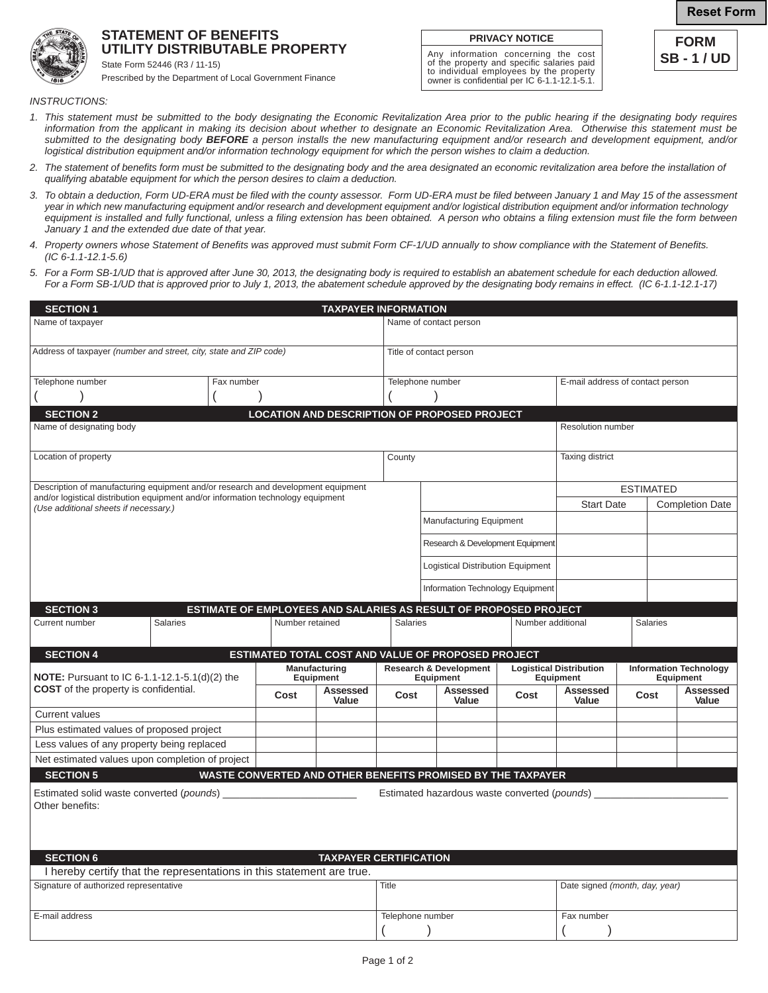## **Reset Form**

**FORM SB - 1 / UD**



## **STATEMENT OF BENEFITS UTILITY DISTRIBUTABLE PROPERTY**

State Form 52446 (R3 / 11-15) Prescribed by the Department of Local Government Finance

*INSTRUCTIONS:*

*1. This statement must be submitted to the body designating the Economic Revitalization Area prior to the public hearing if the designating body requires information from the applicant in making its decision about whether to designate an Economic Revitalization Area. Otherwise this statement must be submitted to the designating body BEFORE a person installs the new manufacturing equipment and/or research and development equipment, and/or logistical distribution equipment and/or information technology equipment for which the person wishes to claim a deduction.*

**PRIVACY NOTICE** Any information concerning the cost of the property and specific salaries paid to individual employees by the property owner is confidential per IC 6-1.1-12.1-5.1.

- *2. The statement of benefits form must be submitted to the designating body and the area designated an economic revitalization area before the installation of qualifying abatable equipment for which the person desires to claim a deduction.*
- *3. To obtain a deduction, Form UD-ERA must be filed with the county assessor. Form UD-ERA must be filed between January 1 and May 15 of the assessment year in which new manufacturing equipment and/or research and development equipment and/or logistical distribution equipment and/or information technology*  equipment is installed and fully functional, unless a filing extension has been obtained. A person who obtains a filing extension must file the form between  *January 1 and the extended due date of that year.*
- *4. Property owners whose Statement of Benefits was approved must submit Form CF-1/UD annually to show compliance with the Statement of Benefits. (IC 6-1.1-12.1-5.6)*
- *5. For a Form SB-1/UD that is approved after June 30, 2013, the designating body is required to establish an abatement schedule for each deduction allowed. For a Form SB-1/UD that is approved prior to July 1, 2013, the abatement schedule approved by the designating body remains in effect. (IC 6-1.1-12.1-17)*

| <b>SECTION 1</b><br><b>TAXPAYER INFORMATION</b>                                                                           |  |  |                            |                                                      |                                                |                                                                    |                                             |                                |                                            |                        |  |
|---------------------------------------------------------------------------------------------------------------------------|--|--|----------------------------|------------------------------------------------------|------------------------------------------------|--------------------------------------------------------------------|---------------------------------------------|--------------------------------|--------------------------------------------|------------------------|--|
| Name of taxpayer                                                                                                          |  |  |                            | Name of contact person                               |                                                |                                                                    |                                             |                                |                                            |                        |  |
| Address of taxpayer (number and street, city, state and ZIP code)                                                         |  |  |                            |                                                      | Title of contact person                        |                                                                    |                                             |                                |                                            |                        |  |
| Telephone number<br>Fax number                                                                                            |  |  |                            | Telephone number<br>E-mail address of contact person |                                                |                                                                    |                                             |                                |                                            |                        |  |
|                                                                                                                           |  |  |                            |                                                      |                                                |                                                                    |                                             |                                |                                            |                        |  |
| <b>SECTION 2</b>                                                                                                          |  |  |                            |                                                      |                                                | <b>LOCATION AND DESCRIPTION OF PROPOSED PROJECT</b>                |                                             |                                |                                            |                        |  |
| Name of designating body<br>Resolution number                                                                             |  |  |                            |                                                      |                                                |                                                                    |                                             |                                |                                            |                        |  |
| Location of property                                                                                                      |  |  |                            |                                                      | County                                         |                                                                    |                                             | Taxing district                |                                            |                        |  |
| Description of manufacturing equipment and/or research and development equipment                                          |  |  |                            |                                                      |                                                |                                                                    |                                             |                                | <b>ESTIMATED</b>                           |                        |  |
| and/or logistical distribution equipment and/or information technology equipment<br>(Use additional sheets if necessary.) |  |  |                            |                                                      |                                                |                                                                    |                                             | <b>Start Date</b>              |                                            | <b>Completion Date</b> |  |
|                                                                                                                           |  |  |                            |                                                      |                                                | Manufacturing Equipment                                            |                                             |                                |                                            |                        |  |
|                                                                                                                           |  |  |                            |                                                      |                                                | Research & Development Equipment                                   |                                             |                                |                                            |                        |  |
|                                                                                                                           |  |  |                            |                                                      |                                                | Logistical Distribution Equipment                                  |                                             |                                |                                            |                        |  |
|                                                                                                                           |  |  |                            |                                                      |                                                | Information Technology Equipment                                   |                                             |                                |                                            |                        |  |
| ESTIMATE OF EMPLOYEES AND SALARIES AS RESULT OF PROPOSED PROJECT<br><b>SECTION 3</b>                                      |  |  |                            |                                                      |                                                |                                                                    |                                             |                                |                                            |                        |  |
| <b>Salaries</b><br>Current number                                                                                         |  |  | Number retained            |                                                      |                                                | Salaries                                                           |                                             | Number additional              |                                            | Salaries               |  |
| ESTIMATED TOTAL COST AND VALUE OF PROPOSED PROJECT<br><b>SECTION 4</b>                                                    |  |  |                            |                                                      |                                                |                                                                    |                                             |                                |                                            |                        |  |
| <b>NOTE:</b> Pursuant to IC 6-1.1-12.1-5.1(d)(2) the<br><b>COST</b> of the property is confidential.                      |  |  | Manufacturing<br>Equipment |                                                      | <b>Research &amp; Development</b><br>Equipment |                                                                    | <b>Logistical Distribution</b><br>Equipment |                                | <b>Information Technology</b><br>Equipment |                        |  |
|                                                                                                                           |  |  | Cost                       | <b>Assessed</b><br>Value                             | Cost                                           | Assessed<br>Value                                                  | Cost                                        | <b>Assessed</b><br>Value       | Cost                                       | Assessed<br>Value      |  |
| <b>Current values</b>                                                                                                     |  |  |                            |                                                      |                                                |                                                                    |                                             |                                |                                            |                        |  |
| Plus estimated values of proposed project                                                                                 |  |  |                            |                                                      |                                                |                                                                    |                                             |                                |                                            |                        |  |
| Less values of any property being replaced                                                                                |  |  |                            |                                                      |                                                |                                                                    |                                             |                                |                                            |                        |  |
| Net estimated values upon completion of project                                                                           |  |  |                            |                                                      |                                                |                                                                    |                                             |                                |                                            |                        |  |
| <b>SECTION 5</b>                                                                                                          |  |  |                            |                                                      |                                                | <b>WASTE CONVERTED AND OTHER BENEFITS PROMISED BY THE TAXPAYER</b> |                                             |                                |                                            |                        |  |
| Estimated solid waste converted (pounds)<br>Estimated hazardous waste converted (pounds)<br>Other benefits:               |  |  |                            |                                                      |                                                |                                                                    |                                             |                                |                                            |                        |  |
|                                                                                                                           |  |  |                            |                                                      |                                                |                                                                    |                                             |                                |                                            |                        |  |
| <b>SECTION 6</b><br><b>TAXPAYER CERTIFICATION</b>                                                                         |  |  |                            |                                                      |                                                |                                                                    |                                             |                                |                                            |                        |  |
| I hereby certify that the representations in this statement are true.                                                     |  |  |                            |                                                      |                                                |                                                                    |                                             |                                |                                            |                        |  |
| Signature of authorized representative                                                                                    |  |  |                            |                                                      | Title                                          |                                                                    |                                             | Date signed (month, day, year) |                                            |                        |  |
| E-mail address                                                                                                            |  |  |                            | Telephone number                                     |                                                |                                                                    | Fax number                                  |                                |                                            |                        |  |
|                                                                                                                           |  |  |                            |                                                      |                                                |                                                                    |                                             |                                |                                            |                        |  |